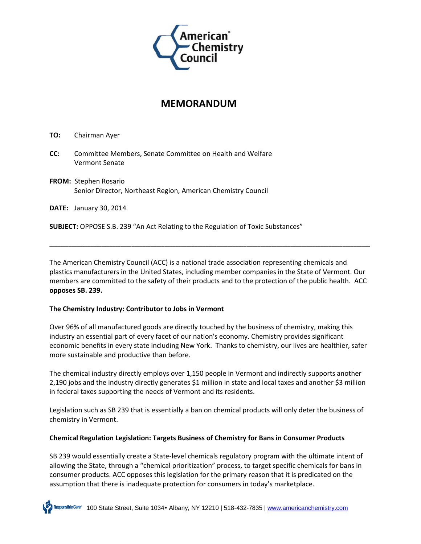

# **MEMORANDUM**

**TO:** Chairman Ayer

- **CC:** Committee Members, Senate Committee on Health and Welfare Vermont Senate
- **FROM:** Stephen Rosario Senior Director, Northeast Region, American Chemistry Council

**DATE:** January 30, 2014

**SUBJECT:** OPPOSE S.B. 239 "An Act Relating to the Regulation of Toxic Substances"

The American Chemistry Council (ACC) is a national trade association representing chemicals and plastics manufacturers in the United States, including member companies in the State of Vermont. Our members are committed to the safety of their products and to the protection of the public health. ACC **opposes SB. 239.**

**\_\_\_\_\_\_\_\_\_\_\_\_\_\_\_\_\_\_\_\_\_\_\_\_\_\_\_\_\_\_\_\_\_\_\_\_\_\_\_\_\_\_\_\_\_\_\_\_\_\_\_\_\_\_\_\_\_\_\_\_\_\_\_\_\_\_\_\_\_\_\_\_\_\_\_\_\_\_\_\_\_\_\_\_\_\_\_\_\_\_\_\_\_\_\_\_\_\_\_\_\_\_\_\_\_\_\_\_\_\_\_\_\_\_\_\_\_**

#### **The Chemistry Industry: Contributor to Jobs in Vermont**

Over 96% of all manufactured goods are directly touched by the business of chemistry, making this industry an essential part of every facet of our nation's economy. Chemistry provides significant economic benefits in every state including New York. Thanks to chemistry, our lives are healthier, safer more sustainable and productive than before.

The chemical industry directly employs over 1,150 people in Vermont and indirectly supports another 2,190 jobs and the industry directly generates \$1 million in state and local taxes and another \$3 million in federal taxes supporting the needs of Vermont and its residents.

Legislation such as SB 239 that is essentially a ban on chemical products will only deter the business of chemistry in Vermont.

#### **Chemical Regulation Legislation: Targets Business of Chemistry for Bans in Consumer Products**

SB 239 would essentially create a State-level chemicals regulatory program with the ultimate intent of allowing the State, through a "chemical prioritization" process, to target specific chemicals for bans in consumer products. ACC opposes this legislation for the primary reason that it is predicated on the assumption that there is inadequate protection for consumers in today's marketplace.